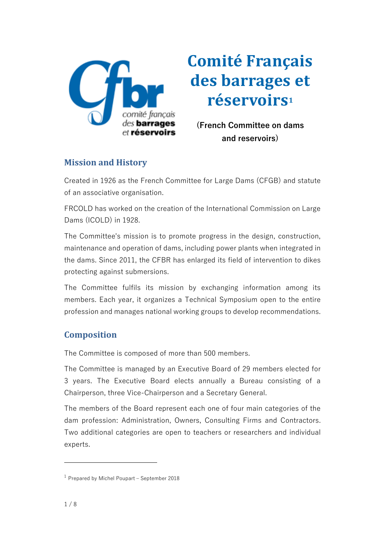

**Comité Français des barrages et réservoirs<sup>1</sup>**

**(French Committee on dams and reservoirs)**

# **Mission and History**

Created in 1926 as the French Committee for Large Dams (CFGB) and statute of an associative organisation.

FRCOLD has worked on the creation of the International Commission on Large Dams (ICOLD) in 1928.

The Committee's mission is to promote progress in the design, construction, maintenance and operation of dams, including power plants when integrated in the dams. Since 2011, the CFBR has enlarged its field of intervention to dikes protecting against submersions.

The Committee fulfils its mission by exchanging information among its members. Each year, it organizes a Technical Symposium open to the entire profession and manages national working groups to develop recommendations.

# **Composition**

The Committee is composed of more than 500 members.

The Committee is managed by an Executive Board of 29 members elected for 3 years. The Executive Board elects annually a Bureau consisting of a Chairperson, three Vice-Chairperson and a Secretary General.

The members of the Board represent each one of four main categories of the dam profession: Administration, Owners, Consulting Firms and Contractors. Two additional categories are open to teachers or researchers and individual experts.

<sup>1</sup> Prepared by Michel Poupart – September 2018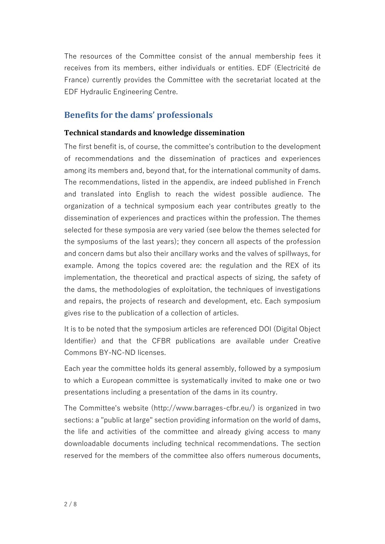The resources of the Committee consist of the annual membership fees it receives from its members, either individuals or entities. EDF (Electricité de France) currently provides the Committee with the secretariat located at the EDF Hydraulic Engineering Centre.

# **Benefits for the dams' professionals**

#### **Technical standards and knowledge dissemination**

The first benefit is, of course, the committee's contribution to the development of recommendations and the dissemination of practices and experiences among its members and, beyond that, for the international community of dams. The recommendations, listed in the appendix, are indeed published in French and translated into English to reach the widest possible audience. The organization of a technical symposium each year contributes greatly to the dissemination of experiences and practices within the profession. The themes selected for these symposia are very varied (see below the themes selected for the symposiums of the last years); they concern all aspects of the profession and concern dams but also their ancillary works and the valves of spillways, for example. Among the topics covered are: the regulation and the REX of its implementation, the theoretical and practical aspects of sizing, the safety of the dams, the methodologies of exploitation, the techniques of investigations and repairs, the projects of research and development, etc. Each symposium gives rise to the publication of a collection of articles.

It is to be noted that the symposium articles are referenced DOI (Digital Object Identifier) and that the CFBR publications are available under Creative Commons BY-NC-ND licenses.

Each year the committee holds its general assembly, followed by a symposium to which a European committee is systematically invited to make one or two presentations including a presentation of the dams in its country.

The Committee's website (http://www.barrages-cfbr.eu/) is organized in two sections: a "public at large" section providing information on the world of dams, the life and activities of the committee and already giving access to many downloadable documents including technical recommendations. The section reserved for the members of the committee also offers numerous documents,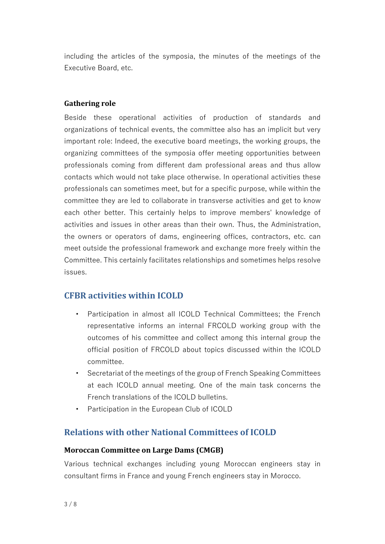including the articles of the symposia, the minutes of the meetings of the Executive Board, etc.

#### **Gathering role**

Beside these operational activities of production of standards and organizations of technical events, the committee also has an implicit but very important role: Indeed, the executive board meetings, the working groups, the organizing committees of the symposia offer meeting opportunities between professionals coming from different dam professional areas and thus allow contacts which would not take place otherwise. In operational activities these professionals can sometimes meet, but for a specific purpose, while within the committee they are led to collaborate in transverse activities and get to know each other better. This certainly helps to improve members' knowledge of activities and issues in other areas than their own. Thus, the Administration, the owners or operators of dams, engineering offices, contractors, etc. can meet outside the professional framework and exchange more freely within the Committee. This certainly facilitates relationships and sometimes helps resolve issues.

# **CFBR activities within ICOLD**

- Participation in almost all ICOLD Technical Committees; the French representative informs an internal FRCOLD working group with the outcomes of his committee and collect among this internal group the official position of FRCOLD about topics discussed within the ICOLD committee.
- Secretariat of the meetings of the group of French Speaking Committees at each ICOLD annual meeting. One of the main task concerns the French translations of the ICOLD bulletins.
- Participation in the European Club of ICOLD

# **Relations with other National Committees of ICOLD**

#### **Moroccan Committee on Large Dams (CMGB)**

Various technical exchanges including young Moroccan engineers stay in consultant firms in France and young French engineers stay in Morocco.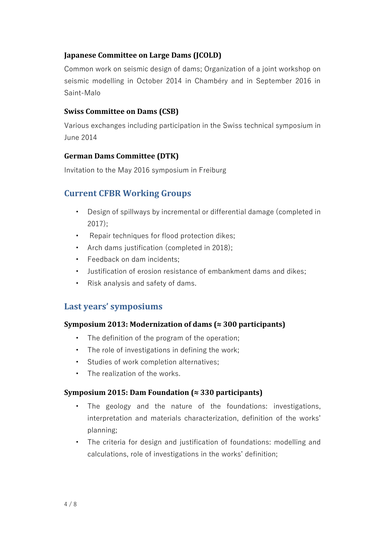## **Japanese Committee on Large Dams (JCOLD)**

Common work on seismic design of dams; Organization of a joint workshop on seismic modelling in October 2014 in Chambéry and in September 2016 in Saint-Malo

## **Swiss Committee on Dams (CSB)**

Various exchanges including participation in the Swiss technical symposium in June 2014

## **German Dams Committee (DTK)**

Invitation to the May 2016 symposium in Freiburg

# **Current CFBR Working Groups**

- Design of spillways by incremental or differential damage (completed in 2017);
- Repair techniques for flood protection dikes;
- Arch dams justification (completed in 2018);
- Feedback on dam incidents;
- Justification of erosion resistance of embankment dams and dikes;
- Risk analysis and safety of dams.

# **Last years' symposiums**

## **Symposium 2013: Modernization of dams (≈ 300 participants)**

- The definition of the program of the operation;
- The role of investigations in defining the work;
- Studies of work completion alternatives;
- The realization of the works.

## **Symposium 2015: Dam Foundation (≈ 330 participants)**

- The geology and the nature of the foundations: investigations, interpretation and materials characterization, definition of the works' planning;
- The criteria for design and justification of foundations: modelling and calculations, role of investigations in the works' definition;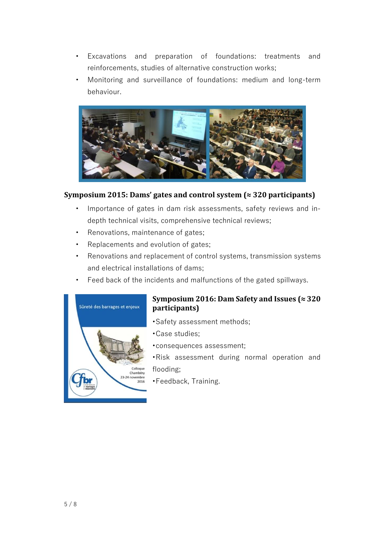- Excavations and preparation of foundations: treatments and reinforcements, studies of alternative construction works;
- Monitoring and surveillance of foundations: medium and long-term behaviour.



## **Symposium 2015: Dams' gates and control system (≈ 320 participants)**

- Importance of gates in dam risk assessments, safety reviews and indepth technical visits, comprehensive technical reviews;
- Renovations, maintenance of gates;
- Replacements and evolution of gates;
- Renovations and replacement of control systems, transmission systems and electrical installations of dams;
- Feed back of the incidents and malfunctions of the gated spillways.



## **Symposium 2016: Dam Safety and Issues (≈ 320 participants)**

- •Safety assessment methods;
- •Case studies;
- •consequences assessment;
- •Risk assessment during normal operation and flooding;
- •Feedback, Training.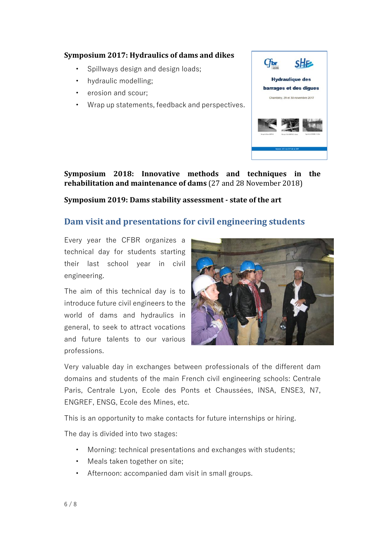### **Symposium 2017: Hydraulics of dams and dikes**

- Spillways design and design loads;
- hydraulic modelling;
- erosion and scour;
- Wrap up statements, feedback and perspectives.



**Symposium 2018: Innovative methods and techniques in the rehabilitation and maintenance of dams** (27 and 28 November 2018)

**Symposium 2019: Dams stability assessment - state of the art**

# **Dam visit and presentations for civil engineering students**

Every year the CFBR organizes a technical day for students starting their last school year in civil engineering.

The aim of this technical day is to introduce future civil engineers to the world of dams and hydraulics in general, to seek to attract vocations and future talents to our various professions.



Very valuable day in exchanges between professionals of the different dam domains and students of the main French civil engineering schools: Centrale Paris, Centrale Lyon, Ecole des Ponts et Chaussées, INSA, ENSE3, N7, ENGREF, ENSG, Ecole des Mines, etc.

This is an opportunity to make contacts for future internships or hiring.

The day is divided into two stages:

- Morning: technical presentations and exchanges with students;
- Meals taken together on site;
- Afternoon: accompanied dam visit in small groups.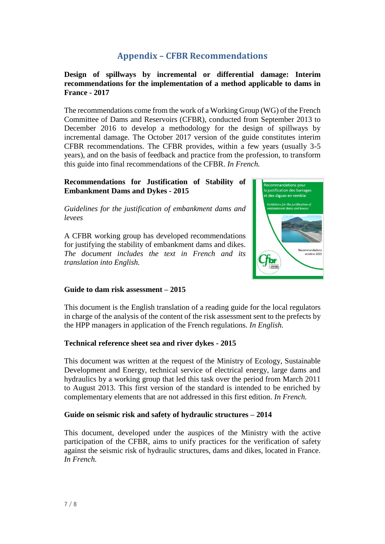# **Appendix – CFBR Recommendations**

## **Design of spillways by incremental or differential damage: Interim recommendations for the implementation of a method applicable to dams in France - 2017**

The recommendations come from the work of a Working Group (WG) of the French Committee of Dams and Reservoirs (CFBR), conducted from September 2013 to December 2016 to develop a methodology for the design of spillways by incremental damage. The October 2017 version of the guide constitutes interim CFBR recommendations. The CFBR provides, within a few years (usually 3-5 years), and on the basis of feedback and practice from the profession, to transform this guide into final recommendations of the CFBR. *In French.*

#### **Recommendations for Justification of Stability of Embankment Dams and Dykes - 2015**

*Guidelines for the justification of embankment dams and levees*

A CFBR working group has developed recommendations for justifying the stability of embankment dams and dikes. *The document includes the text in French and its translation into English.*



#### **Guide to dam risk assessment – 2015**

This document is the English translation of a reading guide for the local regulators in charge of the analysis of the content of the risk assessment sent to the prefects by the HPP managers in application of the French regulations. *In English.*

#### **Technical reference sheet sea and river dykes - 2015**

This document was written at the request of the Ministry of Ecology, Sustainable Development and Energy, technical service of electrical energy, large dams and hydraulics by a working group that led this task over the period from March 2011 to August 2013. This first version of the standard is intended to be enriched by complementary elements that are not addressed in this first edition. *In French.*

## **Guide on seismic risk and safety of hydraulic structures – 2014**

This document, developed under the auspices of the Ministry with the active participation of the CFBR, aims to unify practices for the verification of safety against the seismic risk of hydraulic structures, dams and dikes, located in France. *In French.*